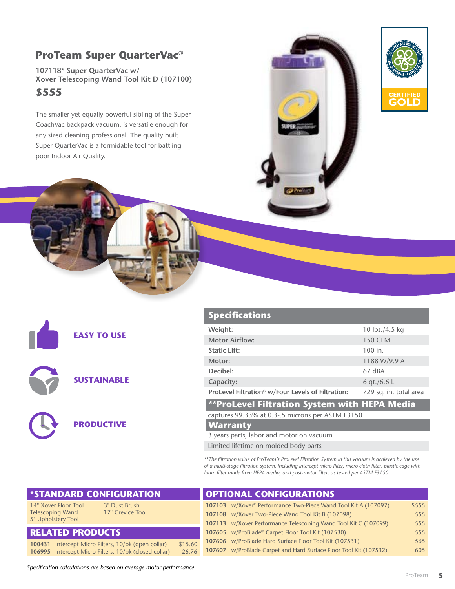## **ProTeam Super QuarterVac®**

**107118\* Super QuarterVac w/ Xover Telescoping Wand Tool Kit D (107100) \$555**

The smaller yet equally powerful sibling of the Super CoachVac backpack vacuum, is versatile enough for any sized cleaning professional. The quality built Super QuarterVac is a formidable tool for battling poor Indoor Air Quality.





**EASY TO USE**

**SUSTAINABLE**



#### **Specifications**

| Weight:                                                       | 10 lbs./4.5 kg         |
|---------------------------------------------------------------|------------------------|
| <b>Motor Airflow:</b>                                         | <b>150 CFM</b>         |
| <b>Static Lift:</b>                                           | 100 in.                |
| Motor:                                                        | 1188 W/9.9 A           |
| Decibel:                                                      | 67 dBA                 |
| Capacity:                                                     | 6 gt./6.6 L            |
| ProLevel Filtration <sup>®</sup> w/Four Levels of Filtration: | 729 sq. in. total area |
| **Prol evel Filtration System with HFPA Media                 |                        |

### **\*\*ProLevel Filtration System with HEPA Media**

#### captures 99.33% at 0.3-.5 microns per ASTM F3150 **Warranty**

3 years parts, labor and motor on vacuum

Limited lifetime on molded body parts

*\*\*The filtration value of ProTeam's ProLevel Filtration System in this vacuum is achieved by the use of a multi-stage filtration system, including intercept micro filter, micro cloth filter, plastic cage with foam filter made from HEPA media, and post-motor filter, as tested per ASTM F3150.*

| <b>*STANDARD CONFIGURATION</b>                                               | <b>OPTIONAL CONFIGURATIONS</b>                                    |       |
|------------------------------------------------------------------------------|-------------------------------------------------------------------|-------|
| 14" Xover Floor Tool<br>3" Dust Brush                                        | 107103 w/Xover® Performance Two-Piece Wand Tool Kit A (107097)    | \$555 |
| 17" Crevice Tool<br><b>Telescoping Wand</b>                                  | 107108 w/Xover Two-Piece Wand Tool Kit B (107098)                 | 555   |
| 5" Upholstery Tool                                                           | 107113 w/Xover Performance Telescoping Wand Tool Kit C (107099)   | 555   |
| <b>RELATED PRODUCTS</b><br>107605 w/ProBlade® Carpet Floor Tool Kit (107530) |                                                                   | 555   |
| \$15.60<br>100431 Intercept Micro Filters, 10/pk (open collar)               | 107606 w/ProBlade Hard Surface Floor Tool Kit (107531)            | 565   |
| 106995 Intercept Micro Filters, 10/pk (closed collar)<br>26.76               | 107607 w/ProBlade Carpet and Hard Surface Floor Tool Kit (107532) | 605   |

*Specification calculations are based on average motor performance.*